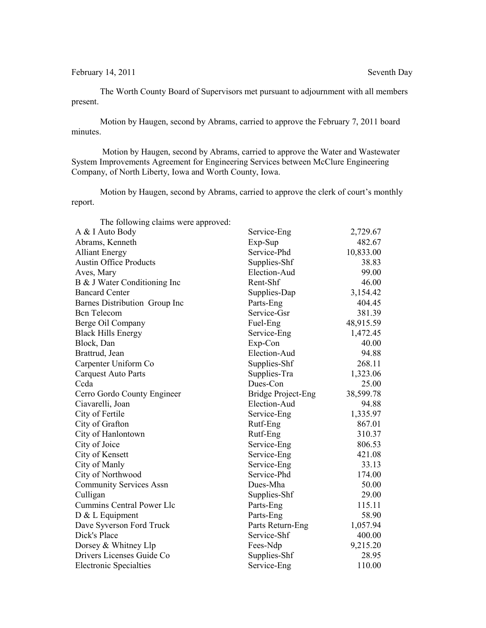February 14, 2011 Seventh Day

The Worth County Board of Supervisors met pursuant to adjournment with all members present.

Motion by Haugen, second by Abrams, carried to approve the February 7, 2011 board minutes.

 Motion by Haugen, second by Abrams, carried to approve the Water and Wastewater System Improvements Agreement for Engineering Services between McClure Engineering Company, of North Liberty, Iowa and Worth County, Iowa.

Motion by Haugen, second by Abrams, carried to approve the clerk of court's monthly report.

| The following claims were approved: |                           |           |
|-------------------------------------|---------------------------|-----------|
| A & I Auto Body                     | Service-Eng               | 2,729.67  |
| Abrams, Kenneth                     | Exp-Sup                   | 482.67    |
| <b>Alliant Energy</b>               | Service-Phd               | 10,833.00 |
| <b>Austin Office Products</b>       | Supplies-Shf              | 38.83     |
| Aves, Mary                          | Election-Aud              | 99.00     |
| B & J Water Conditioning Inc        | Rent-Shf                  | 46.00     |
| <b>Bancard Center</b>               | Supplies-Dap              | 3,154.42  |
| Barnes Distribution Group Inc       | Parts-Eng                 | 404.45    |
| <b>Bcn</b> Telecom                  | Service-Gsr               | 381.39    |
| Berge Oil Company                   | Fuel-Eng                  | 48,915.59 |
| <b>Black Hills Energy</b>           | Service-Eng               | 1,472.45  |
| Block, Dan                          | Exp-Con                   | 40.00     |
| Brattrud, Jean                      | Election-Aud              | 94.88     |
| Carpenter Uniform Co                | Supplies-Shf              | 268.11    |
| <b>Carquest Auto Parts</b>          | Supplies-Tra              | 1,323.06  |
| Ccda                                | Dues-Con                  | 25.00     |
| Cerro Gordo County Engineer         | <b>Bridge Project-Eng</b> | 38,599.78 |
| Ciavarelli, Joan                    | Election-Aud              | 94.88     |
| City of Fertile                     | Service-Eng               | 1,335.97  |
| City of Grafton                     | Rutf-Eng                  | 867.01    |
| City of Hanlontown                  | Rutf-Eng                  | 310.37    |
| City of Joice                       | Service-Eng               | 806.53    |
| City of Kensett                     | Service-Eng               | 421.08    |
| City of Manly                       | Service-Eng               | 33.13     |
| City of Northwood                   | Service-Phd               | 174.00    |
| <b>Community Services Assn</b>      | Dues-Mha                  | 50.00     |
| Culligan                            | Supplies-Shf              | 29.00     |
| Cummins Central Power Llc           | Parts-Eng                 | 115.11    |
| D & L Equipment                     | Parts-Eng                 | 58.90     |
| Dave Syverson Ford Truck            | Parts Return-Eng          | 1,057.94  |
| Dick's Place                        | Service-Shf               | 400.00    |
| Dorsey & Whitney Llp                | Fees-Ndp                  | 9,215.20  |
| Drivers Licenses Guide Co           | Supplies-Shf              | 28.95     |
| <b>Electronic Specialties</b>       | Service-Eng               | 110.00    |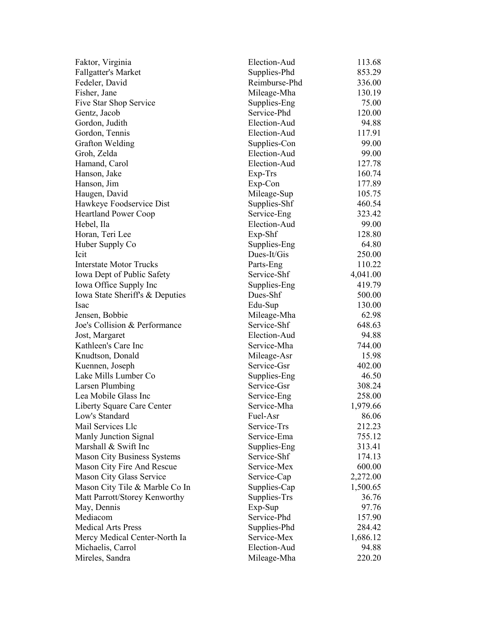| Faktor, Virginia                   | Election-Aud  | 113.68   |
|------------------------------------|---------------|----------|
| <b>Fallgatter's Market</b>         | Supplies-Phd  | 853.29   |
| Fedeler, David                     | Reimburse-Phd | 336.00   |
| Fisher, Jane                       | Mileage-Mha   | 130.19   |
| Five Star Shop Service             | Supplies-Eng  | 75.00    |
| Gentz, Jacob                       | Service-Phd   | 120.00   |
| Gordon, Judith                     | Election-Aud  | 94.88    |
| Gordon, Tennis                     | Election-Aud  | 117.91   |
| <b>Grafton Welding</b>             | Supplies-Con  | 99.00    |
| Groh, Zelda                        | Election-Aud  | 99.00    |
| Hamand, Carol                      | Election-Aud  | 127.78   |
| Hanson, Jake                       | Exp-Trs       | 160.74   |
| Hanson, Jim                        | Exp-Con       | 177.89   |
| Haugen, David                      | Mileage-Sup   | 105.75   |
| Hawkeye Foodservice Dist           | Supplies-Shf  | 460.54   |
| <b>Heartland Power Coop</b>        | Service-Eng   | 323.42   |
| Hebel, Ila                         | Election-Aud  | 99.00    |
| Horan, Teri Lee                    | Exp-Shf       | 128.80   |
| Huber Supply Co                    | Supplies-Eng  | 64.80    |
| Icit                               | Dues-It/Gis   | 250.00   |
| <b>Interstate Motor Trucks</b>     | Parts-Eng     | 110.22   |
| Iowa Dept of Public Safety         | Service-Shf   | 4,041.00 |
| Iowa Office Supply Inc             | Supplies-Eng  | 419.79   |
| Iowa State Sheriff's & Deputies    | Dues-Shf      | 500.00   |
| Isac                               | Edu-Sup       | 130.00   |
| Jensen, Bobbie                     | Mileage-Mha   | 62.98    |
| Joe's Collision & Performance      | Service-Shf   | 648.63   |
| Jost, Margaret                     | Election-Aud  | 94.88    |
| Kathleen's Care Inc                | Service-Mha   | 744.00   |
| Knudtson, Donald                   | Mileage-Asr   | 15.98    |
| Kuennen, Joseph                    | Service-Gsr   | 402.00   |
| Lake Mills Lumber Co               | Supplies-Eng  | 46.50    |
| <b>Larsen Plumbing</b>             | Service-Gsr   | 308.24   |
| Lea Mobile Glass Inc               | Service-Eng   | 258.00   |
| Liberty Square Care Center         | Service-Mha   | 1,979.66 |
| Low's Standard                     | Fuel-Asr      | 86.06    |
| Mail Services Llc                  | Service-Trs   | 212.23   |
| Manly Junction Signal              | Service-Ema   | 755.12   |
| Marshall & Swift Inc               | Supplies-Eng  | 313.41   |
| <b>Mason City Business Systems</b> | Service-Shf   | 174.13   |
| Mason City Fire And Rescue         | Service-Mex   | 600.00   |
| Mason City Glass Service           | Service-Cap   | 2,272.00 |
| Mason City Tile & Marble Co In     | Supplies-Cap  | 1,500.65 |
| Matt Parrott/Storey Kenworthy      | Supplies-Trs  | 36.76    |
| May, Dennis                        | Exp-Sup       | 97.76    |
| Mediacom                           | Service-Phd   | 157.90   |
| <b>Medical Arts Press</b>          | Supplies-Phd  | 284.42   |
| Mercy Medical Center-North Ia      | Service-Mex   | 1,686.12 |
| Michaelis, Carrol                  | Election-Aud  | 94.88    |
| Mireles, Sandra                    | Mileage-Mha   | 220.20   |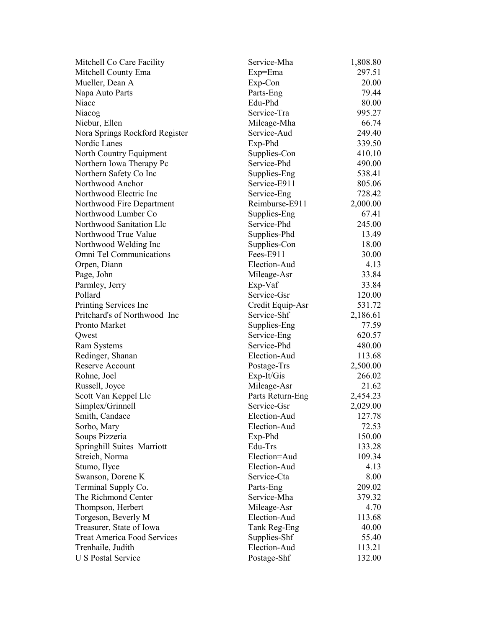| Mitchell Co Care Facility          | Service-Mha      | 1,808.80 |
|------------------------------------|------------------|----------|
| Mitchell County Ema                | Exp=Ema          | 297.51   |
| Mueller, Dean A                    | Exp-Con          | 20.00    |
| Napa Auto Parts                    | Parts-Eng        | 79.44    |
| Niacc                              | Edu-Phd          | 80.00    |
| Niacog                             | Service-Tra      | 995.27   |
| Niebur, Ellen                      | Mileage-Mha      | 66.74    |
| Nora Springs Rockford Register     | Service-Aud      | 249.40   |
| Nordic Lanes                       | Exp-Phd          | 339.50   |
| North Country Equipment            | Supplies-Con     | 410.10   |
| Northern Iowa Therapy Pc           | Service-Phd      | 490.00   |
| Northern Safety Co Inc             | Supplies-Eng     | 538.41   |
| Northwood Anchor                   | Service-E911     | 805.06   |
| Northwood Electric Inc             | Service-Eng      | 728.42   |
| Northwood Fire Department          | Reimburse-E911   | 2,000.00 |
| Northwood Lumber Co                | Supplies-Eng     | 67.41    |
| Northwood Sanitation Llc           | Service-Phd      | 245.00   |
| Northwood True Value               | Supplies-Phd     | 13.49    |
| Northwood Welding Inc              | Supplies-Con     | 18.00    |
| Omni Tel Communications            | Fees-E911        | 30.00    |
| Orpen, Diann                       | Election-Aud     | 4.13     |
| Page, John                         | Mileage-Asr      | 33.84    |
| Parmley, Jerry                     | Exp-Vaf          | 33.84    |
| Pollard                            | Service-Gsr      | 120.00   |
| Printing Services Inc              | Credit Equip-Asr | 531.72   |
| Pritchard's of Northwood Inc       | Service-Shf      | 2,186.61 |
| Pronto Market                      | Supplies-Eng     | 77.59    |
| Qwest                              | Service-Eng      | 620.57   |
| <b>Ram Systems</b>                 | Service-Phd      | 480.00   |
| Redinger, Shanan                   | Election-Aud     | 113.68   |
| <b>Reserve Account</b>             | Postage-Trs      | 2,500.00 |
| Rohne, Joel                        | Exp-It/Gis       | 266.02   |
| Russell, Joyce                     | Mileage-Asr      | 21.62    |
| Scott Van Keppel Llc               | Parts Return-Eng | 2,454.23 |
| Simplex/Grinnell                   | Service-Gsr      | 2,029.00 |
| Smith, Candace                     | Election-Aud     | 127.78   |
| Sorbo, Mary                        | Election-Aud     | 72.53    |
| Soups Pizzeria                     | Exp-Phd          | 150.00   |
| <b>Springhill Suites Marriott</b>  | Edu-Trs          | 133.28   |
| Streich, Norma                     | Election=Aud     | 109.34   |
| Stumo, Ilyce                       | Election-Aud     | 4.13     |
| Swanson, Dorene K                  | Service-Cta      | 8.00     |
| Terminal Supply Co.                | Parts-Eng        | 209.02   |
| The Richmond Center                | Service-Mha      | 379.32   |
| Thompson, Herbert                  | Mileage-Asr      | 4.70     |
| Torgeson, Beverly M                | Election-Aud     | 113.68   |
| Treasurer, State of Iowa           | Tank Reg-Eng     | 40.00    |
| <b>Treat America Food Services</b> | Supplies-Shf     | 55.40    |
| Trenhaile, Judith                  | Election-Aud     | 113.21   |
| <b>U S Postal Service</b>          | Postage-Shf      | 132.00   |
|                                    |                  |          |